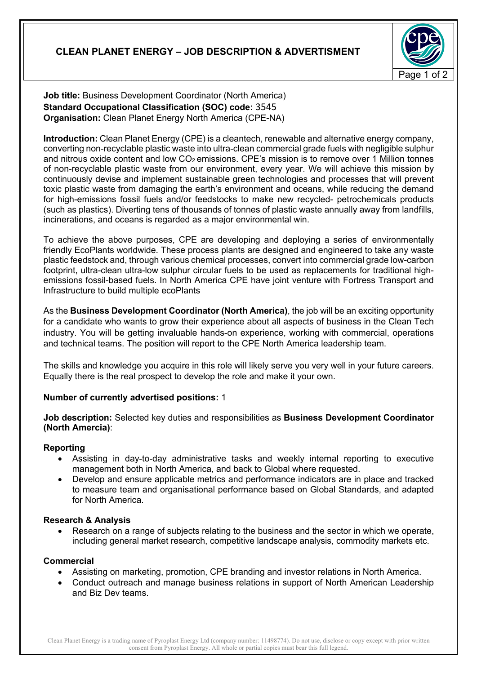## **CLEAN PLANET ENERGY – JOB DESCRIPTION & ADVERTISMENT**



**Job title:** Business Development Coordinator (North America) **Standard Occupational Classification (SOC) code:** 3545 **Organisation:** Clean Planet Energy North America (CPE-NA)

**Introduction:** Clean Planet Energy (CPE) is a cleantech, renewable and alternative energy company, converting non-recyclable plastic waste into ultra-clean commercial grade fuels with negligible sulphur and nitrous oxide content and low  $CO<sub>2</sub>$  emissions. CPE's mission is to remove over 1 Million tonnes of non-recyclable plastic waste from our environment, every year. We will achieve this mission by continuously devise and implement sustainable green technologies and processes that will prevent toxic plastic waste from damaging the earth's environment and oceans, while reducing the demand for high-emissions fossil fuels and/or feedstocks to make new recycled- petrochemicals products (such as plastics). Diverting tens of thousands of tonnes of plastic waste annually away from landfills, incinerations, and oceans is regarded as a major environmental win.

To achieve the above purposes, CPE are developing and deploying a series of environmentally friendly EcoPlants worldwide. These process plants are designed and engineered to take any waste plastic feedstock and, through various chemical processes, convert into commercial grade low-carbon footprint, ultra-clean ultra-low sulphur circular fuels to be used as replacements for traditional highemissions fossil-based fuels. In North America CPE have joint venture with Fortress Transport and Infrastructure to build multiple ecoPlants

As the **Business Development Coordinator (North America)**, the job will be an exciting opportunity for a candidate who wants to grow their experience about all aspects of business in the Clean Tech industry. You will be getting invaluable hands-on experience, working with commercial, operations and technical teams. The position will report to the CPE North America leadership team.

The skills and knowledge you acquire in this role will likely serve you very well in your future careers. Equally there is the real prospect to develop the role and make it your own.

## **Number of currently advertised positions:** 1

**Job description:** Selected key duties and responsibilities as **Business Development Coordinator (North Amercia)**:

#### **Reporting**

- Assisting in day-to-day administrative tasks and weekly internal reporting to executive management both in North America, and back to Global where requested.
- Develop and ensure applicable metrics and performance indicators are in place and tracked to measure team and organisational performance based on Global Standards, and adapted for North America.

#### **Research & Analysis**

• Research on a range of subjects relating to the business and the sector in which we operate, including general market research, competitive landscape analysis, commodity markets etc.

#### **Commercial**

- Assisting on marketing, promotion, CPE branding and investor relations in North America.
- Conduct outreach and manage business relations in support of North American Leadership and Biz Dev teams.